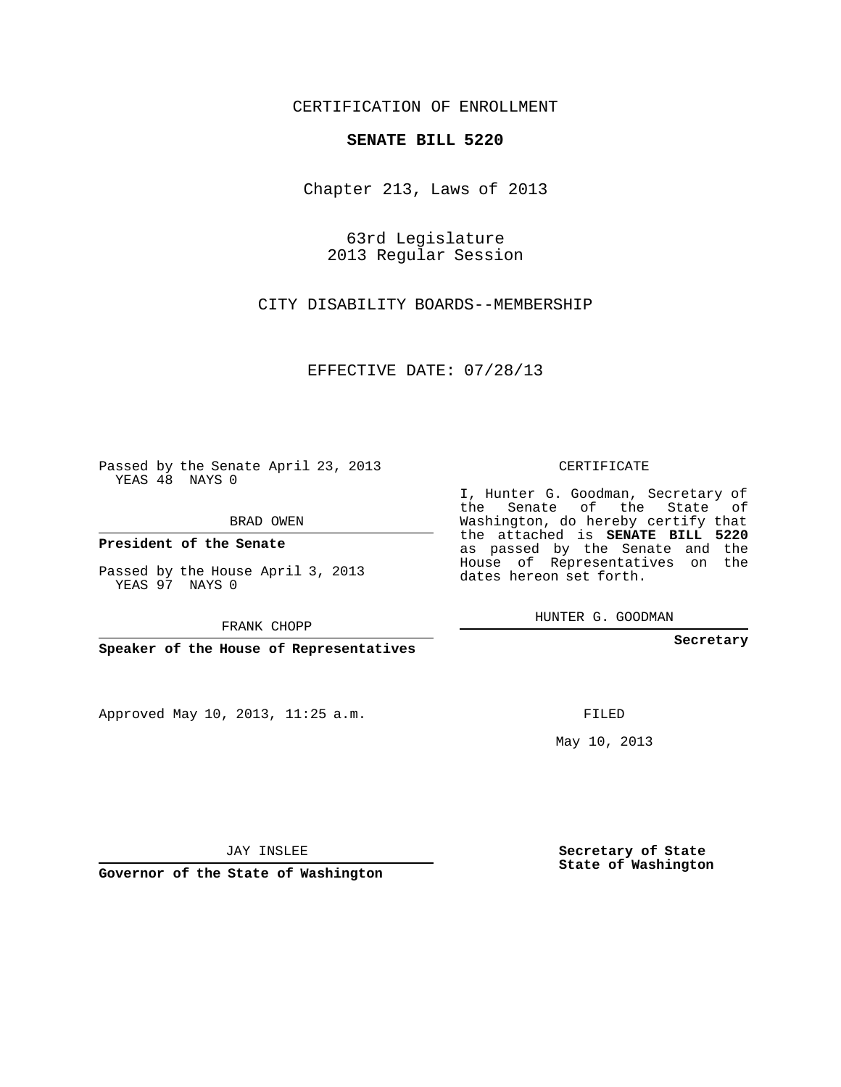### CERTIFICATION OF ENROLLMENT

#### **SENATE BILL 5220**

Chapter 213, Laws of 2013

63rd Legislature 2013 Regular Session

CITY DISABILITY BOARDS--MEMBERSHIP

EFFECTIVE DATE: 07/28/13

 $\sim$  100  $\mu$ 

Passed by the Senate April 23, 2013 YEAS 48 NAYS 0

BRAD OWEN

**President of the Senate**

Passed by the House April 3, 2013 YEAS 97 NAYS 0

FRANK CHOPP

**Speaker of the House of Representatives**

Approved May 10, 2013, 11:25 a.m.

### CERTIFICATE

I, Hunter G. Goodman, Secretary of the Senate of the State of Washington, do hereby certify that the attached is **SENATE BILL 5220** as passed by the Senate and the House of Representatives on the dates hereon set forth.

HUNTER G. GOODMAN

**Secretary**

FILED

May 10, 2013

**Secretary of State State of Washington**

JAY INSLEE

**Governor of the State of Washington**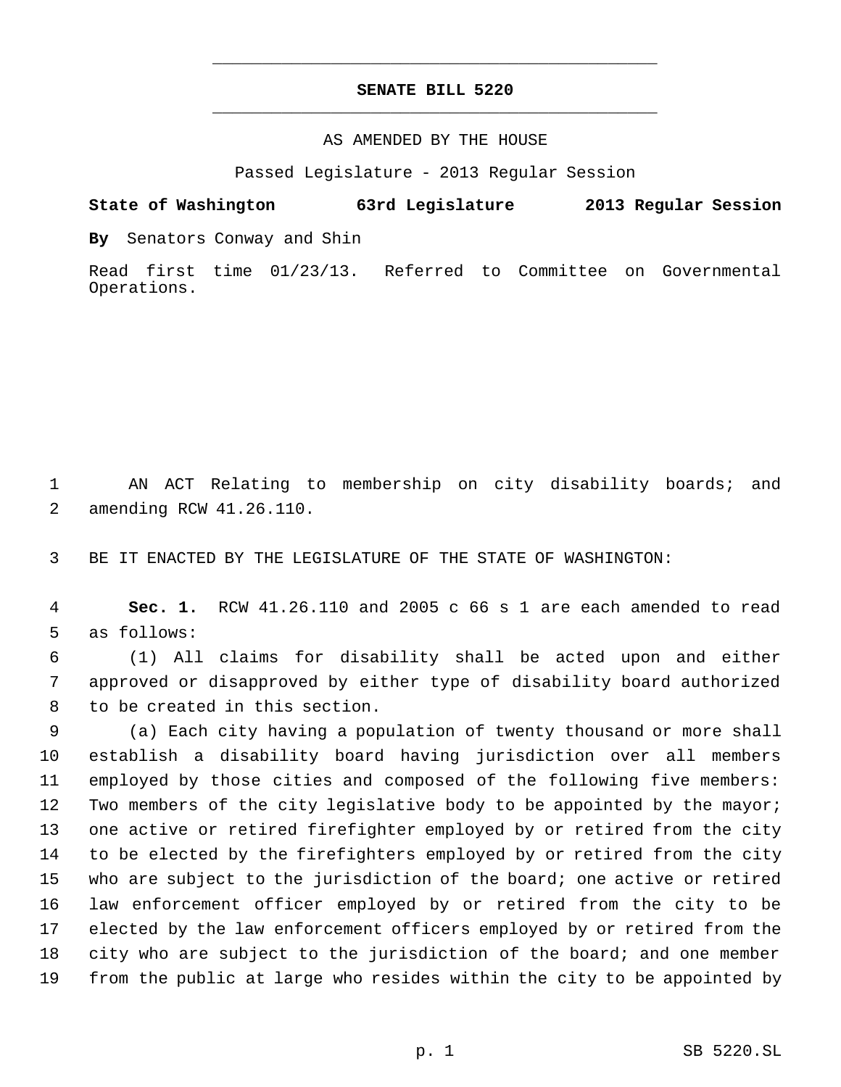# **SENATE BILL 5220** \_\_\_\_\_\_\_\_\_\_\_\_\_\_\_\_\_\_\_\_\_\_\_\_\_\_\_\_\_\_\_\_\_\_\_\_\_\_\_\_\_\_\_\_\_

\_\_\_\_\_\_\_\_\_\_\_\_\_\_\_\_\_\_\_\_\_\_\_\_\_\_\_\_\_\_\_\_\_\_\_\_\_\_\_\_\_\_\_\_\_

### AS AMENDED BY THE HOUSE

Passed Legislature - 2013 Regular Session

## **State of Washington 63rd Legislature 2013 Regular Session**

**By** Senators Conway and Shin

Read first time 01/23/13. Referred to Committee on Governmental Operations.

 AN ACT Relating to membership on city disability boards; and amending RCW 41.26.110.

BE IT ENACTED BY THE LEGISLATURE OF THE STATE OF WASHINGTON:

 **Sec. 1.** RCW 41.26.110 and 2005 c 66 s 1 are each amended to read as follows:

 (1) All claims for disability shall be acted upon and either approved or disapproved by either type of disability board authorized to be created in this section.

 (a) Each city having a population of twenty thousand or more shall establish a disability board having jurisdiction over all members employed by those cities and composed of the following five members: Two members of the city legislative body to be appointed by the mayor; one active or retired firefighter employed by or retired from the city to be elected by the firefighters employed by or retired from the city who are subject to the jurisdiction of the board; one active or retired law enforcement officer employed by or retired from the city to be elected by the law enforcement officers employed by or retired from the city who are subject to the jurisdiction of the board; and one member from the public at large who resides within the city to be appointed by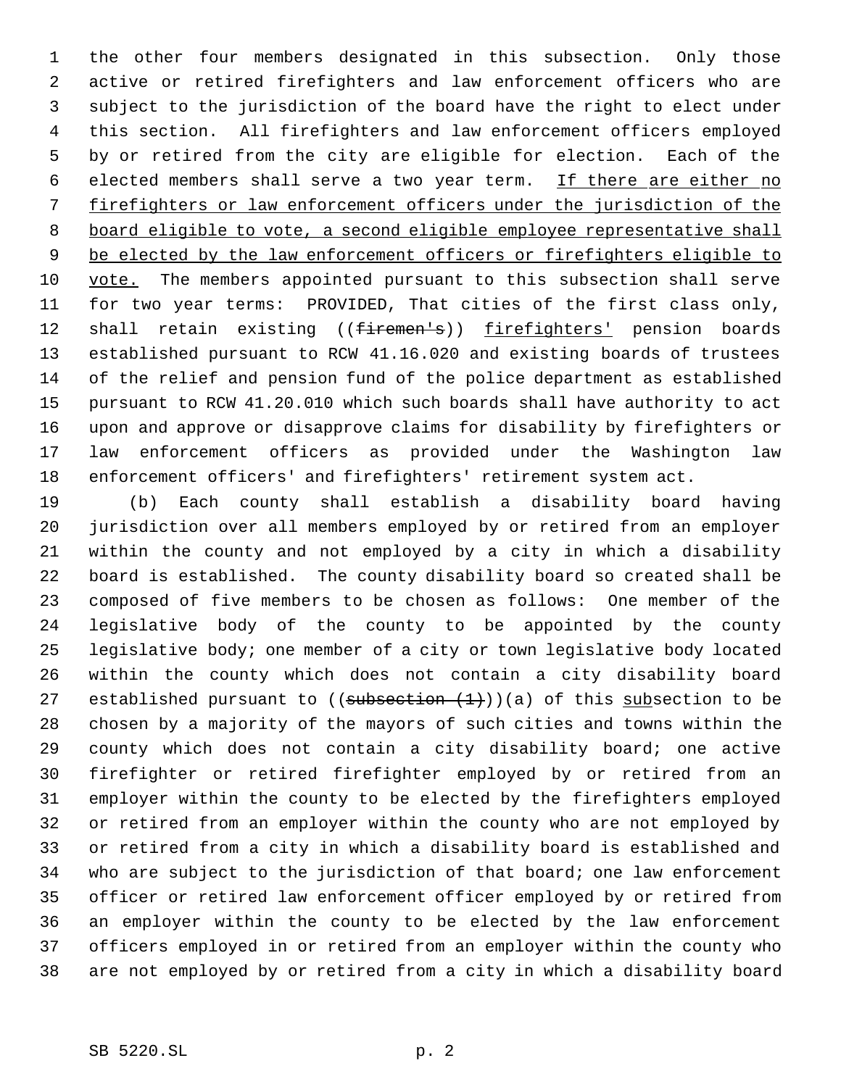the other four members designated in this subsection. Only those active or retired firefighters and law enforcement officers who are subject to the jurisdiction of the board have the right to elect under this section. All firefighters and law enforcement officers employed by or retired from the city are eligible for election. Each of the 6 elected members shall serve a two year term. If there are either no firefighters or law enforcement officers under the jurisdiction of the board eligible to vote, a second eligible employee representative shall 9 be elected by the law enforcement officers or firefighters eligible to vote. The members appointed pursuant to this subsection shall serve for two year terms: PROVIDED, That cities of the first class only, 12 shall retain existing ((firemen's)) firefighters' pension boards established pursuant to RCW 41.16.020 and existing boards of trustees of the relief and pension fund of the police department as established pursuant to RCW 41.20.010 which such boards shall have authority to act upon and approve or disapprove claims for disability by firefighters or law enforcement officers as provided under the Washington law enforcement officers' and firefighters' retirement system act.

 (b) Each county shall establish a disability board having jurisdiction over all members employed by or retired from an employer within the county and not employed by a city in which a disability board is established. The county disability board so created shall be composed of five members to be chosen as follows: One member of the legislative body of the county to be appointed by the county legislative body; one member of a city or town legislative body located within the county which does not contain a city disability board 27 established pursuant to  $((subsection +1))$ )(a) of this subsection to be chosen by a majority of the mayors of such cities and towns within the county which does not contain a city disability board; one active firefighter or retired firefighter employed by or retired from an employer within the county to be elected by the firefighters employed or retired from an employer within the county who are not employed by or retired from a city in which a disability board is established and who are subject to the jurisdiction of that board; one law enforcement officer or retired law enforcement officer employed by or retired from an employer within the county to be elected by the law enforcement officers employed in or retired from an employer within the county who are not employed by or retired from a city in which a disability board